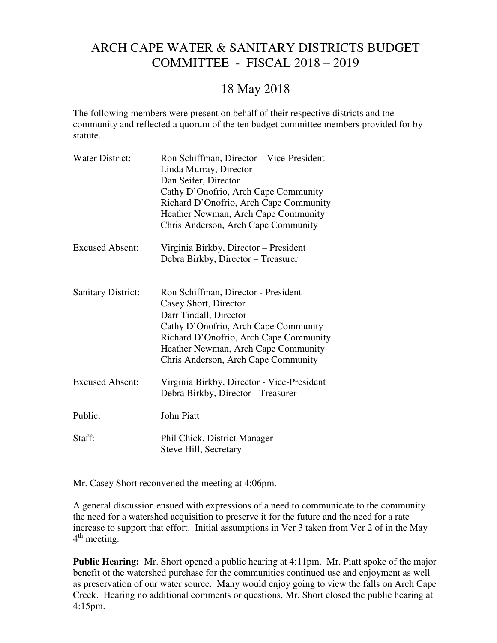## ARCH CAPE WATER & SANITARY DISTRICTS BUDGET COMMITTEE - FISCAL 2018 – 2019

## 18 May 2018

The following members were present on behalf of their respective districts and the community and reflected a quorum of the ten budget committee members provided for by statute.

| <b>Water District:</b>    | Ron Schiffman, Director – Vice-President<br>Linda Murray, Director<br>Dan Seifer, Director<br>Cathy D'Onofrio, Arch Cape Community<br>Richard D'Onofrio, Arch Cape Community<br>Heather Newman, Arch Cape Community<br>Chris Anderson, Arch Cape Community |
|---------------------------|------------------------------------------------------------------------------------------------------------------------------------------------------------------------------------------------------------------------------------------------------------|
| <b>Excused Absent:</b>    | Virginia Birkby, Director – President<br>Debra Birkby, Director - Treasurer                                                                                                                                                                                |
| <b>Sanitary District:</b> | Ron Schiffman, Director - President<br>Casey Short, Director<br>Darr Tindall, Director<br>Cathy D'Onofrio, Arch Cape Community<br>Richard D'Onofrio, Arch Cape Community<br>Heather Newman, Arch Cape Community<br>Chris Anderson, Arch Cape Community     |
| <b>Excused Absent:</b>    | Virginia Birkby, Director - Vice-President<br>Debra Birkby, Director - Treasurer                                                                                                                                                                           |
| Public:                   | <b>John Piatt</b>                                                                                                                                                                                                                                          |
| Staff:                    | Phil Chick, District Manager<br>Steve Hill, Secretary                                                                                                                                                                                                      |

Mr. Casey Short reconvened the meeting at 4:06pm.

A general discussion ensued with expressions of a need to communicate to the community the need for a watershed acquisition to preserve it for the future and the need for a rate increase to support that effort. Initial assumptions in Ver 3 taken from Ver 2 of in the May 4<sup>th</sup> meeting.

**Public Hearing:** Mr. Short opened a public hearing at 4:11pm. Mr. Piatt spoke of the major benefit ot the watershed purchase for the communities continued use and enjoyment as well as preservation of our water source. Many would enjoy going to view the falls on Arch Cape Creek. Hearing no additional comments or questions, Mr. Short closed the public hearing at 4:15pm.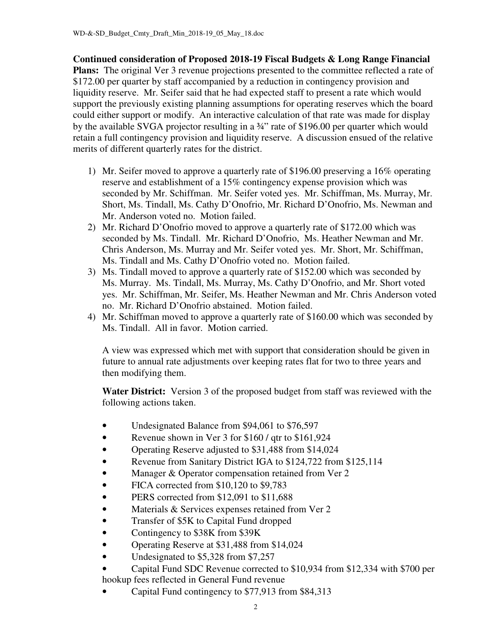**Continued consideration of Proposed 2018-19 Fiscal Budgets & Long Range Financial**  Plans: The original Ver 3 revenue projections presented to the committee reflected a rate of \$172.00 per quarter by staff accompanied by a reduction in contingency provision and liquidity reserve. Mr. Seifer said that he had expected staff to present a rate which would support the previously existing planning assumptions for operating reserves which the board could either support or modify. An interactive calculation of that rate was made for display by the available SVGA projector resulting in a ¾" rate of \$196.00 per quarter which would retain a full contingency provision and liquidity reserve. A discussion ensued of the relative merits of different quarterly rates for the district.

- 1) Mr. Seifer moved to approve a quarterly rate of \$196.00 preserving a 16% operating reserve and establishment of a 15% contingency expense provision which was seconded by Mr. Schiffman. Mr. Seifer voted yes. Mr. Schiffman, Ms. Murray, Mr. Short, Ms. Tindall, Ms. Cathy D'Onofrio, Mr. Richard D'Onofrio, Ms. Newman and Mr. Anderson voted no. Motion failed.
- 2) Mr. Richard D'Onofrio moved to approve a quarterly rate of \$172.00 which was seconded by Ms. Tindall. Mr. Richard D'Onofrio, Ms. Heather Newman and Mr. Chris Anderson, Ms. Murray and Mr. Seifer voted yes. Mr. Short, Mr. Schiffman, Ms. Tindall and Ms. Cathy D'Onofrio voted no. Motion failed.
- 3) Ms. Tindall moved to approve a quarterly rate of \$152.00 which was seconded by Ms. Murray. Ms. Tindall, Ms. Murray, Ms. Cathy D'Onofrio, and Mr. Short voted yes. Mr. Schiffman, Mr. Seifer, Ms. Heather Newman and Mr. Chris Anderson voted no. Mr. Richard D'Onofrio abstained. Motion failed.
- 4) Mr. Schiffman moved to approve a quarterly rate of \$160.00 which was seconded by Ms. Tindall. All in favor. Motion carried.

A view was expressed which met with support that consideration should be given in future to annual rate adjustments over keeping rates flat for two to three years and then modifying them.

 **Water District:** Version 3 of the proposed budget from staff was reviewed with the following actions taken.

- Undesignated Balance from \$94,061 to \$76,597
- Revenue shown in Ver 3 for \$160 / qtr to \$161,924
- Operating Reserve adjusted to \$31,488 from \$14,024
- Revenue from Sanitary District IGA to \$124,722 from \$125,114
- Manager & Operator compensation retained from Ver 2
- FICA corrected from \$10,120 to \$9,783
- PERS corrected from \$12,091 to \$11,688
- Materials & Services expenses retained from Ver 2
- Transfer of \$5K to Capital Fund dropped
- Contingency to \$38K from \$39K
- Operating Reserve at \$31,488 from \$14,024
- Undesignated to \$5,328 from \$7,257
- Capital Fund SDC Revenue corrected to \$10,934 from \$12,334 with \$700 per hookup fees reflected in General Fund revenue
- Capital Fund contingency to \$77,913 from \$84,313